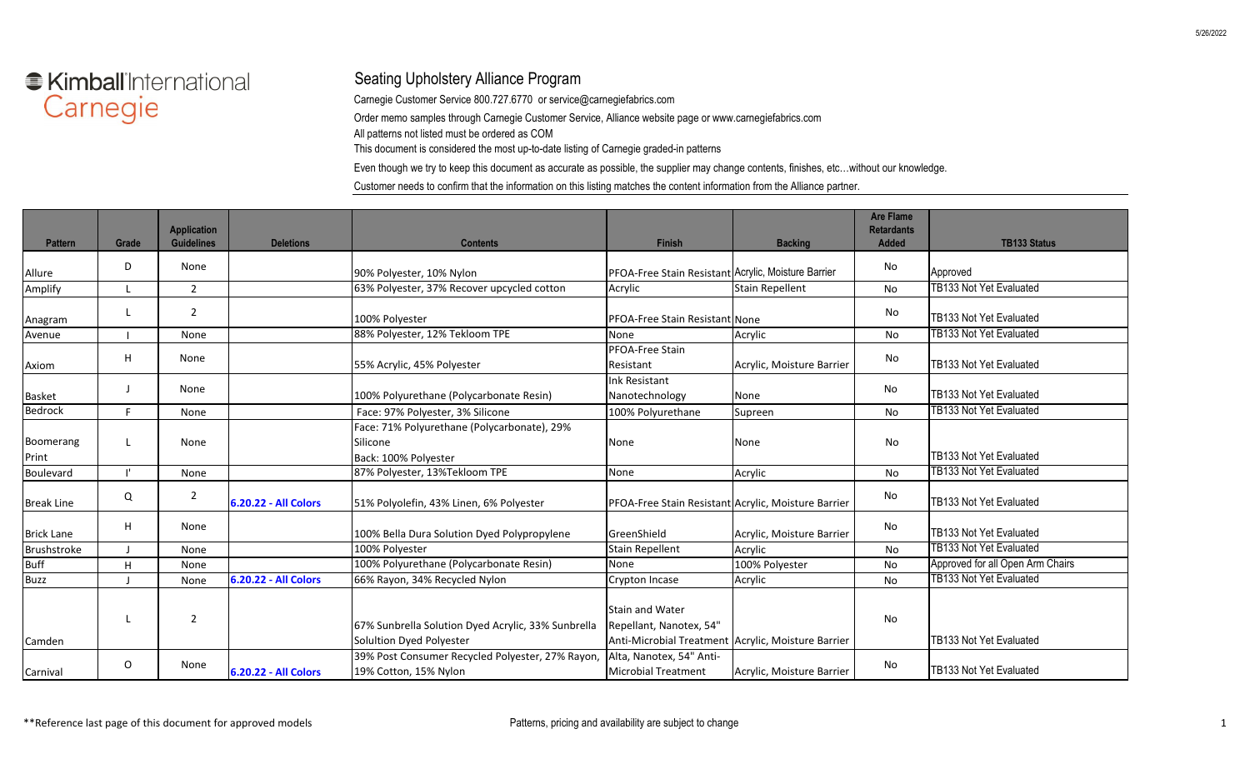## ● Kimball'International Carnegie

## Seating Upholstery Alliance Program

Carnegie Customer Service 800.727.6770 or service@carnegiefabrics.com

Order memo samples through Carnegie Customer Service, Alliance website page or www.carnegiefabrics.com

All patterns not listed must be ordered as COM

This document is considered the most up-to-date listing of Carnegie graded-in patterns

Even though we try to keep this document as accurate as possible, the supplier may change contents, finishes, etc…without our knowledge.

Customer needs to confirm that the information on this listing matches the content information from the Alliance partner.

| <b>Pattern</b>     | Grade   | <b>Application</b><br><b>Guidelines</b> | <b>Deletions</b>     | <b>Contents</b>                                                                 | Finish                                                                                                  | <b>Backing</b>            | <b>Are Flame</b><br><b>Retardants</b><br><b>Added</b> | <b>TB133 Status</b>              |
|--------------------|---------|-----------------------------------------|----------------------|---------------------------------------------------------------------------------|---------------------------------------------------------------------------------------------------------|---------------------------|-------------------------------------------------------|----------------------------------|
| Allure             | D       | None                                    |                      | 90% Polyester, 10% Nylon                                                        | PFOA-Free Stain Resistant Acrylic, Moisture Barrier                                                     |                           | No                                                    | Approved                         |
| Amplify            |         | $\overline{2}$                          |                      | 63% Polyester, 37% Recover upcycled cotton                                      | Acrylic                                                                                                 | <b>Stain Repellent</b>    | No                                                    | <b>TB133 Not Yet Evaluated</b>   |
| Anagram            | L       | $\overline{2}$                          |                      | 100% Polyester                                                                  | PFOA-Free Stain Resistant None                                                                          |                           | No                                                    | TB133 Not Yet Evaluated          |
| Avenue             |         | None                                    |                      | 88% Polyester, 12% Tekloom TPE                                                  | None                                                                                                    | Acrylic                   | No                                                    | TB133 Not Yet Evaluated          |
| Axiom              | H       | None                                    |                      | 55% Acrylic, 45% Polyester                                                      | PFOA-Free Stain<br>Resistant                                                                            | Acrylic, Moisture Barrier | No                                                    | TB133 Not Yet Evaluated          |
| <b>Basket</b>      |         | None                                    |                      | 100% Polyurethane (Polycarbonate Resin)                                         | <b>Ink Resistant</b><br>Nanotechnology                                                                  | None                      | No                                                    | TB133 Not Yet Evaluated          |
| Bedrock            | F.      | None                                    |                      | Face: 97% Polyester, 3% Silicone                                                | 100% Polyurethane                                                                                       | Supreen                   | No                                                    | TB133 Not Yet Evaluated          |
| Boomerang<br>Print | L.      | None                                    |                      | Face: 71% Polyurethane (Polycarbonate), 29%<br>Silicone<br>Back: 100% Polyester | None                                                                                                    | None                      | No                                                    | TB133 Not Yet Evaluated          |
| Boulevard          |         | None                                    |                      | 87% Polyester, 13%Tekloom TPE                                                   | None                                                                                                    | Acrylic                   | No                                                    | TB133 Not Yet Evaluated          |
| <b>Break Line</b>  | Q       | $\overline{2}$                          | 6.20.22 - All Colors | 51% Polyolefin, 43% Linen, 6% Polyester                                         | PFOA-Free Stain Resistant Acrylic, Moisture Barrier                                                     |                           | No                                                    | TB133 Not Yet Evaluated          |
| <b>Brick Lane</b>  | H       | None                                    |                      | 100% Bella Dura Solution Dyed Polypropylene                                     | GreenShield                                                                                             | Acrylic, Moisture Barrier | No                                                    | TB133 Not Yet Evaluated          |
| Brushstroke        |         | None                                    |                      | 100% Polyester                                                                  | <b>Stain Repellent</b>                                                                                  | Acrylic                   | No                                                    | TB133 Not Yet Evaluated          |
| <b>Buff</b>        | H       | None                                    |                      | 100% Polyurethane (Polycarbonate Resin)                                         | <b>None</b>                                                                                             | 100% Polyester            | No                                                    | Approved for all Open Arm Chairs |
| <b>Buzz</b>        |         | None                                    | 6.20.22 - All Colors | 66% Rayon, 34% Recycled Nylon                                                   | Crypton Incase                                                                                          | Acrylic                   | No                                                    | <b>TB133 Not Yet Evaluated</b>   |
| Camden             |         | $\overline{2}$                          |                      | 67% Sunbrella Solution Dyed Acrylic, 33% Sunbrella<br>Solultion Dyed Polyester  | <b>Stain and Water</b><br>Repellant, Nanotex, 54"<br>Anti-Microbial Treatment Acrylic, Moisture Barrier |                           | <b>No</b>                                             | TB133 Not Yet Evaluated          |
| Carnival           | $\circ$ | None                                    | 6.20.22 - All Colors | 39% Post Consumer Recycled Polyester, 27% Rayon,<br>19% Cotton, 15% Nylon       | Alta, Nanotex, 54" Anti-<br><b>Microbial Treatment</b>                                                  | Acrylic, Moisture Barrier | No                                                    | TB133 Not Yet Evaluated          |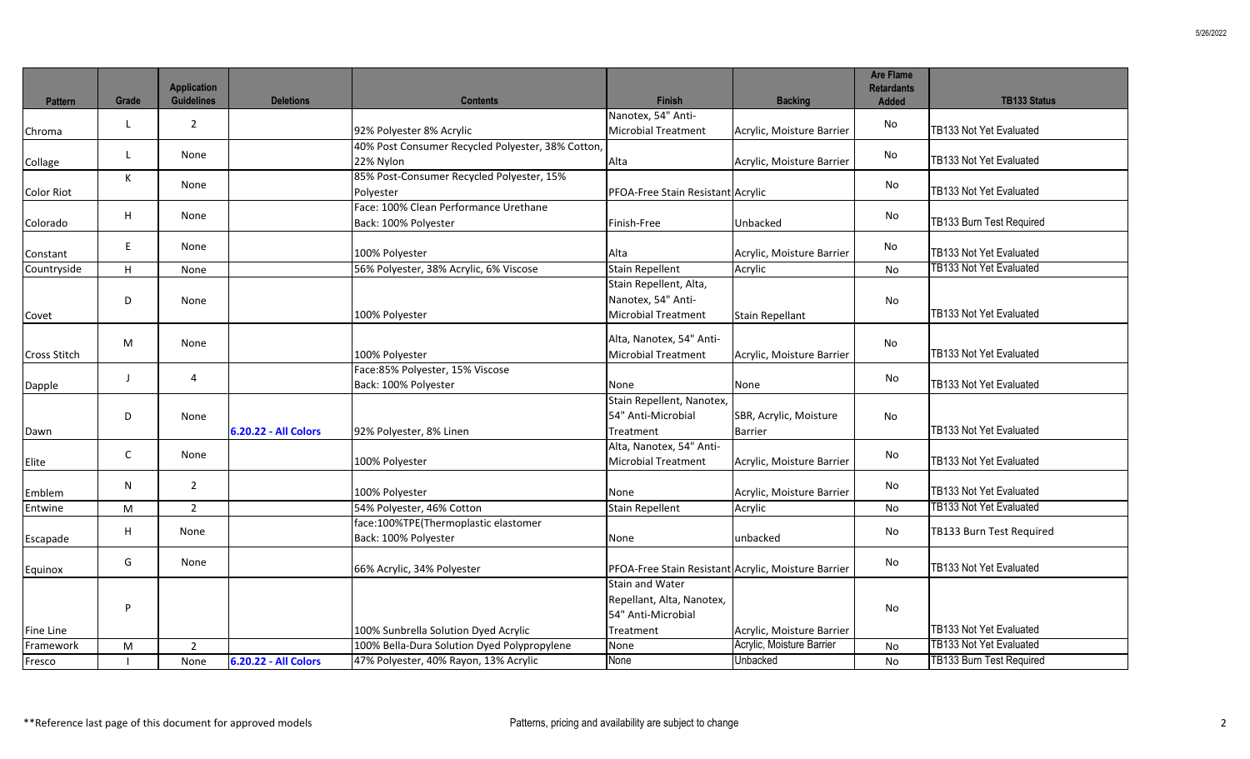| <b>Pattern</b>      | Grade        | <b>Application</b><br><b>Guidelines</b> | <b>Deletions</b>            | <b>Contents</b>                                              | <b>Finish</b>                                                                          | <b>Backing</b>            | <b>Are Flame</b><br><b>Retardants</b><br><b>Added</b> | <b>TB133 Status</b>             |
|---------------------|--------------|-----------------------------------------|-----------------------------|--------------------------------------------------------------|----------------------------------------------------------------------------------------|---------------------------|-------------------------------------------------------|---------------------------------|
|                     |              |                                         |                             |                                                              | Nanotex, 54" Anti-                                                                     |                           |                                                       |                                 |
| Chroma              | L            | $\overline{2}$                          |                             | 92% Polyester 8% Acrylic                                     | <b>Microbial Treatment</b>                                                             | Acrylic, Moisture Barrier | No                                                    | TB133 Not Yet Evaluated         |
|                     |              |                                         |                             | 40% Post Consumer Recycled Polyester, 38% Cotton,            |                                                                                        |                           |                                                       |                                 |
| Collage             | L            | None                                    |                             | 22% Nylon                                                    | Alta                                                                                   | Acrylic, Moisture Barrier | No                                                    | TB133 Not Yet Evaluated         |
|                     | К            | None                                    |                             | 85% Post-Consumer Recycled Polyester, 15%                    |                                                                                        |                           | No                                                    |                                 |
| <b>Color Riot</b>   |              |                                         |                             | Polyester                                                    | PFOA-Free Stain Resistant Acrylic                                                      |                           |                                                       | TB133 Not Yet Evaluated         |
|                     | H            | None                                    |                             | Face: 100% Clean Performance Urethane                        |                                                                                        |                           | No                                                    |                                 |
| Colorado            |              |                                         |                             | Back: 100% Polyester                                         | Finish-Free                                                                            | Unbacked                  |                                                       | TB133 Burn Test Required        |
| Constant            | E            | None                                    |                             | 100% Polyester                                               | Alta                                                                                   | Acrylic, Moisture Barrier | No                                                    | TB133 Not Yet Evaluated         |
| Countryside         | H            | None                                    |                             | 56% Polyester, 38% Acrylic, 6% Viscose                       | <b>Stain Repellent</b>                                                                 | Acrylic                   | No                                                    | <b>TB133 Not Yet Evaluated</b>  |
| Covet               | D            | None                                    |                             | 100% Polyester                                               | Stain Repellent, Alta,<br>Nanotex, 54" Anti-<br><b>Microbial Treatment</b>             | <b>Stain Repellant</b>    | No                                                    | TB133 Not Yet Evaluated         |
| <b>Cross Stitch</b> | M            | None                                    |                             | 100% Polyester                                               | Alta, Nanotex, 54" Anti-<br><b>Microbial Treatment</b>                                 | Acrylic, Moisture Barrier | No                                                    | TB133 Not Yet Evaluated         |
|                     | $\perp$      | 4                                       |                             | Face:85% Polyester, 15% Viscose                              |                                                                                        |                           | No                                                    |                                 |
| Dapple              |              |                                         |                             | Back: 100% Polyester                                         | None                                                                                   | None                      |                                                       | TB133 Not Yet Evaluated         |
|                     | D            | None                                    |                             |                                                              | Stain Repellent, Nanotex,<br>54" Anti-Microbial                                        | SBR, Acrylic, Moisture    | No                                                    |                                 |
| Dawn                |              |                                         | <b>6.20.22 - All Colors</b> | 92% Polyester, 8% Linen                                      | Treatment                                                                              | <b>Barrier</b>            |                                                       | TB133 Not Yet Evaluated         |
| Elite               | $\mathsf{C}$ | None                                    |                             | 100% Polyester                                               | Alta, Nanotex, 54" Anti-<br><b>Microbial Treatment</b>                                 | Acrylic, Moisture Barrier | No                                                    | TB133 Not Yet Evaluated         |
| Emblem              | N            | $\overline{2}$                          |                             | 100% Polyester                                               | None                                                                                   | Acrylic, Moisture Barrier | No                                                    | TB133 Not Yet Evaluated         |
| Entwine             | M            | $\overline{2}$                          |                             | 54% Polyester, 46% Cotton                                    | <b>Stain Repellent</b>                                                                 | Acrylic                   | No                                                    | <b>TB133 Not Yet Evaluated</b>  |
| Escapade            | H            | None                                    |                             | face:100%TPE(Thermoplastic elastomer<br>Back: 100% Polyester | None                                                                                   | unbacked                  | No                                                    | TB133 Burn Test Required        |
| Equinox             | G            | None                                    |                             | 66% Acrylic, 34% Polyester                                   | PFOA-Free Stain Resistant Acrylic, Moisture Barrier                                    |                           | No                                                    | TB133 Not Yet Evaluated         |
| Fine Line           | P            |                                         |                             | 100% Sunbrella Solution Dyed Acrylic                         | <b>Stain and Water</b><br>Repellant, Alta, Nanotex,<br>54" Anti-Microbial<br>Treatment | Acrylic, Moisture Barrier | <b>No</b>                                             | TB133 Not Yet Evaluated         |
| Framework           | M            | $\overline{2}$                          |                             | 100% Bella-Dura Solution Dyed Polypropylene                  | None                                                                                   | Acrylic, Moisture Barrier | No                                                    | <b>TB133 Not Yet Evaluated</b>  |
| Fresco              |              | None                                    | 6.20.22 - All Colors        | 47% Polyester, 40% Rayon, 13% Acrylic                        | None                                                                                   | Unbacked                  | <b>No</b>                                             | <b>TB133 Burn Test Required</b> |
|                     |              |                                         |                             |                                                              |                                                                                        |                           |                                                       |                                 |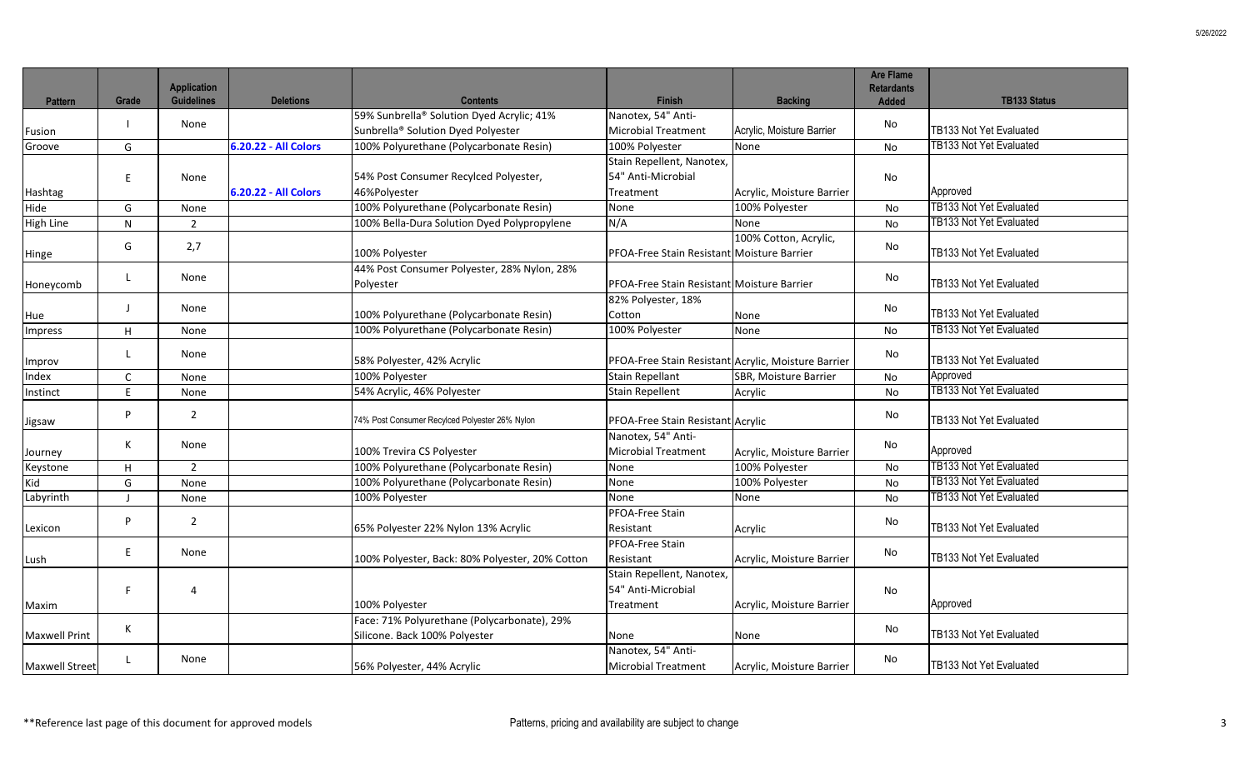|                       |              | <b>Application</b> |                      |                                                                              |                                                     |                           | <b>Are Flame</b><br><b>Retardants</b> |                                |
|-----------------------|--------------|--------------------|----------------------|------------------------------------------------------------------------------|-----------------------------------------------------|---------------------------|---------------------------------------|--------------------------------|
| <b>Pattern</b>        | Grade        | <b>Guidelines</b>  | <b>Deletions</b>     | <b>Contents</b>                                                              | <b>Finish</b>                                       | <b>Backing</b>            | <b>Added</b>                          | <b>TB133 Status</b>            |
|                       |              | None               |                      | 59% Sunbrella® Solution Dyed Acrylic; 41%                                    | Nanotex, 54" Anti-                                  |                           | No                                    |                                |
| Fusion                |              |                    |                      | Sunbrella <sup>®</sup> Solution Dyed Polyester                               | <b>Microbial Treatment</b>                          | Acrylic, Moisture Barrier |                                       | TB133 Not Yet Evaluated        |
| Groove                | G            |                    | 6.20.22 - All Colors | 100% Polyurethane (Polycarbonate Resin)                                      | 100% Polyester                                      | None                      | No                                    | TB133 Not Yet Evaluated        |
|                       |              |                    |                      |                                                                              | Stain Repellent, Nanotex,                           |                           |                                       |                                |
|                       | E            | None               |                      | 54% Post Consumer Recylced Polyester,                                        | 54" Anti-Microbial                                  |                           | No                                    |                                |
| Hashtag               |              |                    | 6.20.22 - All Colors | 46%Polyester                                                                 | Treatment                                           | Acrylic, Moisture Barrier |                                       | Approved                       |
| Hide                  | G            | None               |                      | 100% Polyurethane (Polycarbonate Resin)                                      | None                                                | 100% Polyester            | <b>No</b>                             | TB133 Not Yet Evaluated        |
| <b>High Line</b>      | ${\sf N}$    | $\overline{2}$     |                      | 100% Bella-Dura Solution Dyed Polypropylene                                  | N/A                                                 | None                      | <b>No</b>                             | TB133 Not Yet Evaluated        |
| Hinge                 | G            | 2,7                |                      | 100% Polyester                                                               | PFOA-Free Stain Resistant Moisture Barrier          | 100% Cotton, Acrylic,     | No                                    | TB133 Not Yet Evaluated        |
|                       |              | None               |                      | 44% Post Consumer Polyester, 28% Nylon, 28%                                  |                                                     |                           |                                       |                                |
| Honeycomb             | L            |                    |                      | Polyester                                                                    | PFOA-Free Stain Resistant Moisture Barrier          |                           | No                                    | TB133 Not Yet Evaluated        |
|                       |              |                    |                      |                                                                              | 82% Polyester, 18%                                  |                           |                                       |                                |
| Hue                   | $\perp$      | None               |                      | 100% Polyurethane (Polycarbonate Resin)                                      | Cotton                                              | None                      | No                                    | TB133 Not Yet Evaluated        |
| <b>Impress</b>        | H            | None               |                      | 100% Polyurethane (Polycarbonate Resin)                                      | 100% Polyester                                      | None                      | No                                    | <b>TB133 Not Yet Evaluated</b> |
| Improv                | $\mathbf{I}$ | None               |                      | 58% Polyester, 42% Acrylic                                                   | PFOA-Free Stain Resistant Acrylic, Moisture Barrier |                           | No                                    | TB133 Not Yet Evaluated        |
| Index                 | C            | None               |                      | 100% Polyester                                                               | <b>Stain Repellant</b>                              | SBR, Moisture Barrier     | No                                    | Approved                       |
| Instinct              | $\mathsf{F}$ | None               |                      | 54% Acrylic, 46% Polyester                                                   | <b>Stain Repellent</b>                              | Acrylic                   | No                                    | <b>TB133 Not Yet Evaluated</b> |
| Jigsaw                | P            | $\overline{2}$     |                      | 74% Post Consumer Recylced Polyester 26% Nylon                               | PFOA-Free Stain Resistant Acrylic                   |                           | No                                    | TB133 Not Yet Evaluated        |
| Journey               | К            | None               |                      | 100% Trevira CS Polyester                                                    | Nanotex, 54" Anti-<br><b>Microbial Treatment</b>    | Acrylic, Moisture Barrier | No                                    | Approved                       |
| Keystone              | H            | $\overline{2}$     |                      | 100% Polyurethane (Polycarbonate Resin)                                      | None                                                | 100% Polyester            | <b>No</b>                             | <b>TB133 Not Yet Evaluated</b> |
| Kid                   | G            | None               |                      | 100% Polyurethane (Polycarbonate Resin)                                      | None                                                | 100% Polyester            | <b>No</b>                             | <b>TB133 Not Yet Evaluated</b> |
| Labyrinth             |              | None               |                      | 100% Polyester                                                               | None                                                | None                      | <b>No</b>                             | <b>TB133 Not Yet Evaluated</b> |
| Lexicon               | P            | $\overline{2}$     |                      | 65% Polyester 22% Nylon 13% Acrylic                                          | PFOA-Free Stain<br>Resistant                        | Acrylic                   | No                                    | TB133 Not Yet Evaluated        |
| Lush                  | E            | None               |                      | 100% Polyester, Back: 80% Polyester, 20% Cotton                              | PFOA-Free Stain<br>Resistant                        | Acrylic, Moisture Barrier | No                                    | TB133 Not Yet Evaluated        |
|                       | F            | 4                  |                      |                                                                              | Stain Repellent, Nanotex,<br>54" Anti-Microbial     |                           | No                                    |                                |
| Maxim                 |              |                    |                      | 100% Polyester                                                               | Treatment                                           | Acrylic, Moisture Barrier |                                       | Approved                       |
| <b>Maxwell Print</b>  | К            |                    |                      | Face: 71% Polyurethane (Polycarbonate), 29%<br>Silicone. Back 100% Polyester | None                                                | None                      | No                                    | TB133 Not Yet Evaluated        |
| <b>Maxwell Street</b> | $\mathsf{L}$ | None               |                      | 56% Polyester, 44% Acrylic                                                   | Nanotex, 54" Anti-<br><b>Microbial Treatment</b>    | Acrylic, Moisture Barrier | No                                    | TB133 Not Yet Evaluated        |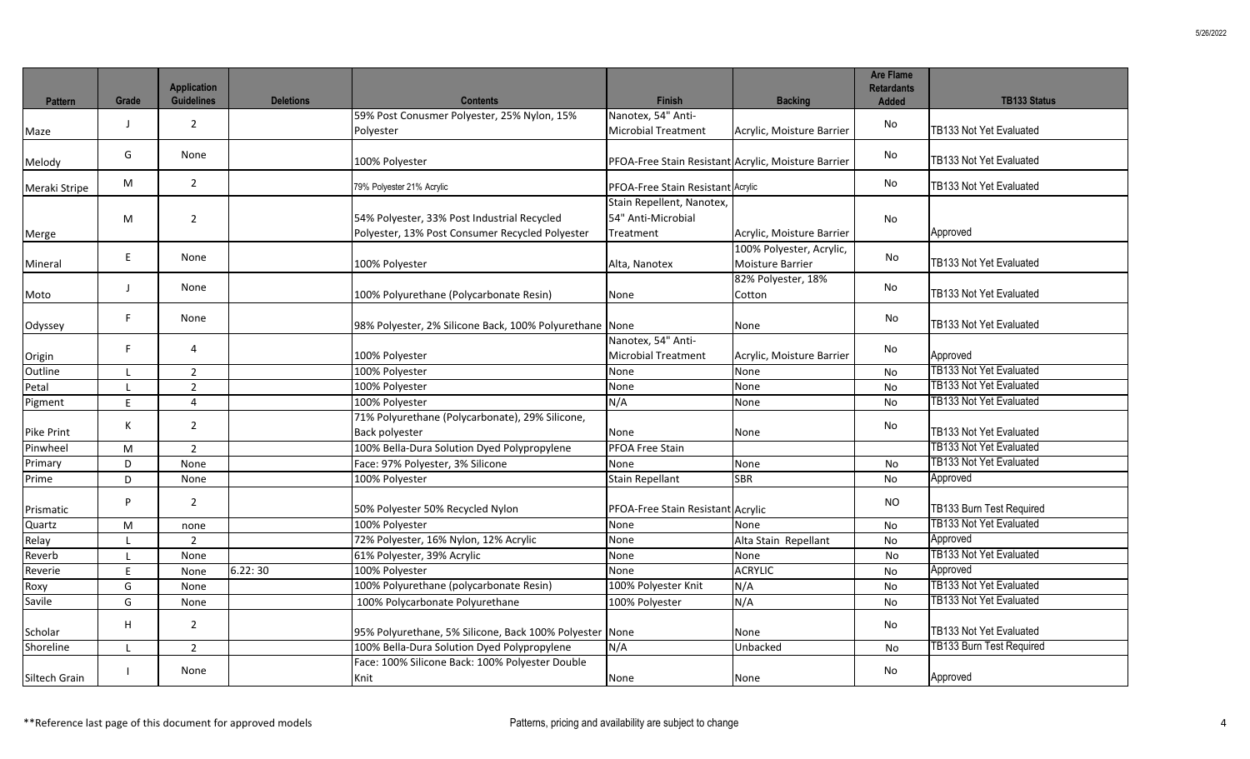| <b>Pattern</b>    | Grade        | <b>Application</b><br><b>Guidelines</b> | <b>Deletions</b> | <b>Contents</b>                                                                                | <b>Finish</b>                                                | <b>Backing</b>                               | <b>Are Flame</b><br><b>Retardants</b><br><b>Added</b> | <b>TB133 Status</b>             |
|-------------------|--------------|-----------------------------------------|------------------|------------------------------------------------------------------------------------------------|--------------------------------------------------------------|----------------------------------------------|-------------------------------------------------------|---------------------------------|
| Maze              | $\perp$      | $\overline{2}$                          |                  | 59% Post Conusmer Polyester, 25% Nylon, 15%<br>Polyester                                       | Nanotex, 54" Anti-<br><b>Microbial Treatment</b>             | Acrylic, Moisture Barrier                    | No                                                    | TB133 Not Yet Evaluated         |
| Melody            | G            | None                                    |                  | 100% Polyester                                                                                 | PFOA-Free Stain Resistant Acrylic, Moisture Barrier          |                                              | No                                                    | TB133 Not Yet Evaluated         |
| Meraki Stripe     | M            | $\overline{2}$                          |                  | 79% Polyester 21% Acrylic                                                                      | <b>PFOA-Free Stain Resistant Acrylic</b>                     |                                              | No                                                    | TB133 Not Yet Evaluated         |
| Merge             | M            | $\overline{2}$                          |                  | 54% Polyester, 33% Post Industrial Recycled<br>Polyester, 13% Post Consumer Recycled Polyester | Stain Repellent, Nanotex,<br>54" Anti-Microbial<br>Treatment | Acrylic, Moisture Barrier                    | No                                                    | Approved                        |
| Mineral           | E            | None                                    |                  | 100% Polyester                                                                                 | Alta, Nanotex                                                | 100% Polyester, Acrylic,<br>Moisture Barrier | No                                                    | TB133 Not Yet Evaluated         |
| Moto              | J            | None                                    |                  | 100% Polyurethane (Polycarbonate Resin)                                                        | None                                                         | 82% Polyester, 18%<br>Cotton                 | No                                                    | TB133 Not Yet Evaluated         |
| Odyssey           | F            | None                                    |                  | 98% Polyester, 2% Silicone Back, 100% Polyurethane None                                        |                                                              | None                                         | No                                                    | TB133 Not Yet Evaluated         |
| Origin<br>Outline | F            | 4                                       |                  | 100% Polyester                                                                                 | Nanotex, 54" Anti-<br><b>Microbial Treatment</b>             | Acrylic, Moisture Barrier                    | No                                                    | Approved                        |
|                   | $\mathbf{I}$ | $\overline{2}$                          |                  | 100% Polyester                                                                                 | None                                                         | None                                         | <b>No</b>                                             | TB133 Not Yet Evaluated         |
| Petal             | $\mathsf{L}$ | $\overline{2}$                          |                  | 100% Polyester                                                                                 | None                                                         | None                                         | No                                                    | <b>TB133 Not Yet Evaluated</b>  |
| Pigment           | E            | 4                                       |                  | 100% Polyester                                                                                 | N/A                                                          | None                                         | No                                                    | <b>TB133 Not Yet Evaluated</b>  |
| <b>Pike Print</b> | К            | $\overline{2}$                          |                  | 71% Polyurethane (Polycarbonate), 29% Silicone,<br>Back polyester                              | None                                                         | None                                         | No                                                    | TB133 Not Yet Evaluated         |
| Pinwheel          | M            | $\overline{2}$                          |                  | 100% Bella-Dura Solution Dyed Polypropylene                                                    | PFOA Free Stain                                              |                                              |                                                       | <b>TB133 Not Yet Evaluated</b>  |
| Primary           | D            | None                                    |                  | Face: 97% Polyester, 3% Silicone                                                               | None                                                         | None                                         | No                                                    | <b>TB133 Not Yet Evaluated</b>  |
| Prime             | D            | None                                    |                  | 100% Polyester                                                                                 | <b>Stain Repellant</b>                                       | <b>SBR</b>                                   | No                                                    | Approved                        |
| Prismatic         | P            | $\overline{2}$                          |                  | 50% Polyester 50% Recycled Nylon                                                               | PFOA-Free Stain Resistant Acrylic                            |                                              | <b>NO</b>                                             | TB133 Burn Test Required        |
| Quartz            | M            | none                                    |                  | 100% Polyester                                                                                 | None                                                         | None                                         | No                                                    | TB133 Not Yet Evaluated         |
| Relay             | л.           | $\overline{2}$                          |                  | 72% Polyester, 16% Nylon, 12% Acrylic                                                          | None                                                         | Alta Stain Repellant                         | No                                                    | Approved                        |
| Reverb            | $\mathbf{I}$ | None                                    |                  | 61% Polyester, 39% Acrylic                                                                     | None                                                         | None                                         | No                                                    | TB133 Not Yet Evaluated         |
| Reverie           | $\sf E$      | None                                    | 6.22:30          | 100% Polyester                                                                                 | None                                                         | <b>ACRYLIC</b>                               | <b>No</b>                                             | Approved                        |
| Roxy              | G            | None                                    |                  | 100% Polyurethane (polycarbonate Resin)                                                        | 100% Polyester Knit                                          | N/A                                          | No                                                    | TB133 Not Yet Evaluated         |
| Savile            | G            | None                                    |                  | 100% Polycarbonate Polyurethane                                                                | 100% Polyester                                               | N/A                                          | <b>No</b>                                             | <b>TB133 Not Yet Evaluated</b>  |
| Scholar           | H            | $\overline{2}$                          |                  | 95% Polyurethane, 5% Silicone, Back 100% Polyester None                                        |                                                              | None                                         | No                                                    | TB133 Not Yet Evaluated         |
| Shoreline         | $\mathbf{I}$ | $\overline{2}$                          |                  | 100% Bella-Dura Solution Dyed Polypropylene                                                    | N/A                                                          | Unbacked                                     | No                                                    | <b>TB133 Burn Test Required</b> |
| Siltech Grain     |              | None                                    |                  | Face: 100% Silicone Back: 100% Polyester Double<br>Knit                                        | None                                                         | None                                         | No                                                    | Approved                        |